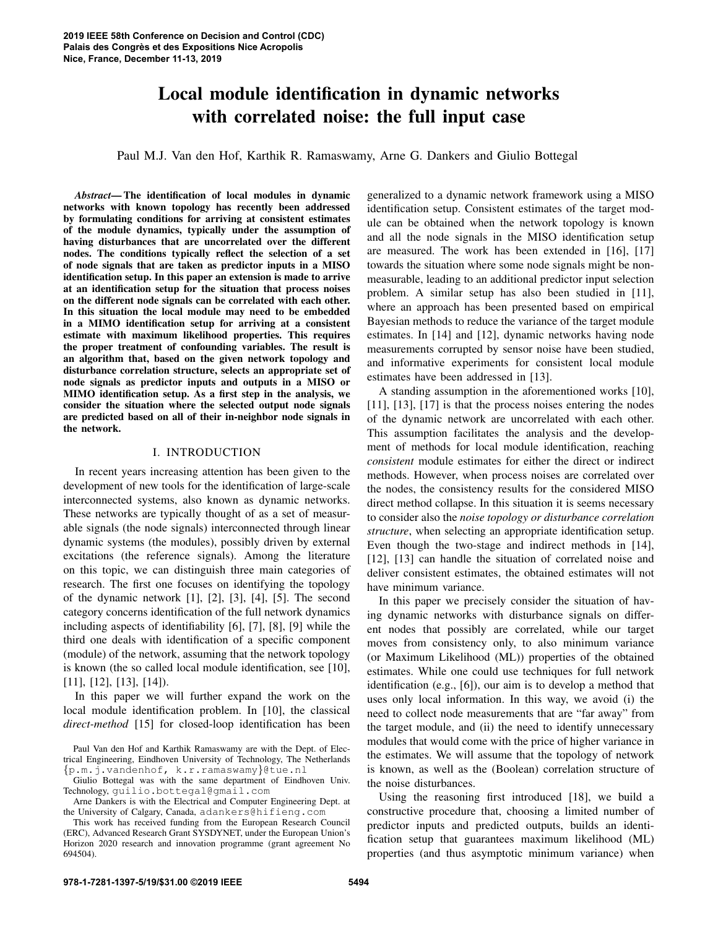# Local module identification in dynamic networks with correlated noise: the full input case

Paul M.J. Van den Hof, Karthik R. Ramaswamy, Arne G. Dankers and Giulio Bottegal

*Abstract*— The identification of local modules in dynamic networks with known topology has recently been addressed by formulating conditions for arriving at consistent estimates of the module dynamics, typically under the assumption of having disturbances that are uncorrelated over the different nodes. The conditions typically reflect the selection of a set of node signals that are taken as predictor inputs in a MISO identification setup. In this paper an extension is made to arrive at an identification setup for the situation that process noises on the different node signals can be correlated with each other. In this situation the local module may need to be embedded in a MIMO identification setup for arriving at a consistent estimate with maximum likelihood properties. This requires the proper treatment of confounding variables. The result is an algorithm that, based on the given network topology and disturbance correlation structure, selects an appropriate set of node signals as predictor inputs and outputs in a MISO or MIMO identification setup. As a first step in the analysis, we consider the situation where the selected output node signals are predicted based on all of their in-neighbor node signals in the network.

#### I. INTRODUCTION

In recent years increasing attention has been given to the development of new tools for the identification of large-scale interconnected systems, also known as dynamic networks. These networks are typically thought of as a set of measurable signals (the node signals) interconnected through linear dynamic systems (the modules), possibly driven by external excitations (the reference signals). Among the literature on this topic, we can distinguish three main categories of research. The first one focuses on identifying the topology of the dynamic network [1], [2], [3], [4], [5]. The second category concerns identification of the full network dynamics including aspects of identifiability [6], [7], [8], [9] while the third one deals with identification of a specific component (module) of the network, assuming that the network topology is known (the so called local module identification, see [10], [11], [12], [13], [14]).

In this paper we will further expand the work on the local module identification problem. In [10], the classical *direct-method* [15] for closed-loop identification has been

Paul Van den Hof and Karthik Ramaswamy are with the Dept. of Electrical Engineering, Eindhoven University of Technology, The Netherlands {p.m.j.vandenhof, k.r.ramaswamy}@tue.nl

Giulio Bottegal was with the same department of Eindhoven Univ. Technology, guilio.bottegal@gmail.com

Arne Dankers is with the Electrical and Computer Engineering Dept. at the University of Calgary, Canada, adankers@hifieng.com

generalized to a dynamic network framework using a MISO identification setup. Consistent estimates of the target module can be obtained when the network topology is known and all the node signals in the MISO identification setup are measured. The work has been extended in [16], [17] towards the situation where some node signals might be nonmeasurable, leading to an additional predictor input selection problem. A similar setup has also been studied in [11], where an approach has been presented based on empirical Bayesian methods to reduce the variance of the target module estimates. In [14] and [12], dynamic networks having node measurements corrupted by sensor noise have been studied, and informative experiments for consistent local module estimates have been addressed in [13].

A standing assumption in the aforementioned works [10], [11], [13], [17] is that the process noises entering the nodes of the dynamic network are uncorrelated with each other. This assumption facilitates the analysis and the development of methods for local module identification, reaching *consistent* module estimates for either the direct or indirect methods. However, when process noises are correlated over the nodes, the consistency results for the considered MISO direct method collapse. In this situation it is seems necessary to consider also the *noise topology or disturbance correlation structure*, when selecting an appropriate identification setup. Even though the two-stage and indirect methods in [14], [12], [13] can handle the situation of correlated noise and deliver consistent estimates, the obtained estimates will not have minimum variance.

In this paper we precisely consider the situation of having dynamic networks with disturbance signals on different nodes that possibly are correlated, while our target moves from consistency only, to also minimum variance (or Maximum Likelihood (ML)) properties of the obtained estimates. While one could use techniques for full network identification (e.g., [6]), our aim is to develop a method that uses only local information. In this way, we avoid (i) the need to collect node measurements that are "far away" from the target module, and (ii) the need to identify unnecessary modules that would come with the price of higher variance in the estimates. We will assume that the topology of network is known, as well as the (Boolean) correlation structure of the noise disturbances.

Using the reasoning first introduced [18], we build a constructive procedure that, choosing a limited number of predictor inputs and predicted outputs, builds an identification setup that guarantees maximum likelihood (ML) properties (and thus asymptotic minimum variance) when

This work has received funding from the European Research Council (ERC), Advanced Research Grant SYSDYNET, under the European Union's Horizon 2020 research and innovation programme (grant agreement No 694504).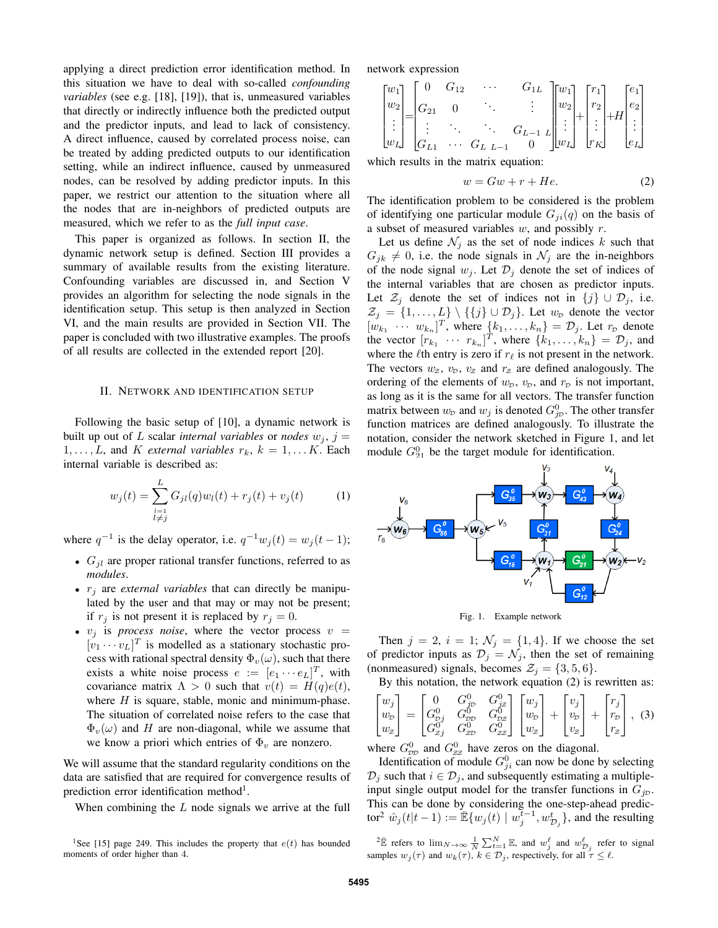applying a direct prediction error identification method. In this situation we have to deal with so-called *confounding variables* (see e.g. [18], [19]), that is, unmeasured variables that directly or indirectly influence both the predicted output and the predictor inputs, and lead to lack of consistency. A direct influence, caused by correlated process noise, can be treated by adding predicted outputs to our identification setting, while an indirect influence, caused by unmeasured nodes, can be resolved by adding predictor inputs. In this paper, we restrict our attention to the situation where all the nodes that are in-neighbors of predicted outputs are measured, which we refer to as the *full input case*.

This paper is organized as follows. In section II, the dynamic network setup is defined. Section III provides a summary of available results from the existing literature. Confounding variables are discussed in, and Section V provides an algorithm for selecting the node signals in the identification setup. This setup is then analyzed in Section VI, and the main results are provided in Section VII. The paper is concluded with two illustrative examples. The proofs of all results are collected in the extended report [20].

#### II. NETWORK AND IDENTIFICATION SETUP

Following the basic setup of [10], a dynamic network is built up out of L scalar *internal variables* or *nodes*  $w_j$ ,  $j =$  $1, \ldots, L$ , and K *external variables*  $r_k$ ,  $k = 1, \ldots K$ . Each internal variable is described as:

$$
w_j(t) = \sum_{\substack{l=1\\l \neq j}}^L G_{jl}(q)w_l(t) + r_j(t) + v_j(t)
$$
 (1)

where  $q^{-1}$  is the delay operator, i.e.  $q^{-1}w_j(t) = w_j(t-1)$ ;

- $G_{jl}$  are proper rational transfer functions, referred to as *modules*.
- $\bullet$   $r_i$  are *external variables* that can directly be manipulated by the user and that may or may not be present; if  $r_j$  is not present it is replaced by  $r_j = 0$ .
- $v_j$  is *process noise*, where the vector process  $v =$  $[v_1 \cdots v_L]^T$  is modelled as a stationary stochastic process with rational spectral density  $\Phi_{\nu}(\omega)$ , such that there exists a white noise process  $e := [e_1 \cdots e_L]^T$ , with covariance matrix  $\Lambda > 0$  such that  $v(t) = H(q)e(t)$ , where  $H$  is square, stable, monic and minimum-phase. The situation of correlated noise refers to the case that  $\Phi_{v}(\omega)$  and H are non-diagonal, while we assume that we know a priori which entries of  $\Phi_v$  are nonzero.

We will assume that the standard regularity conditions on the data are satisfied that are required for convergence results of prediction error identification method<sup>1</sup>.

When combining the L node signals we arrive at the full

network expression

$$
\begin{bmatrix} w_1 \\ w_2 \\ \vdots \\ w_L \end{bmatrix} = \begin{bmatrix} 0 & G_{12} & \cdots & G_{1L} \\ G_{21} & 0 & \ddots & \vdots \\ \vdots & \ddots & \ddots & G_{L-1} \\ G_{L1} & \cdots & G_{L} & L-1 & 0 \end{bmatrix} \begin{bmatrix} w_1 \\ w_2 \\ \vdots \\ w_L \end{bmatrix} + \begin{bmatrix} r_1 \\ r_2 \\ \vdots \\ r_K \end{bmatrix} + H \begin{bmatrix} e_1 \\ e_2 \\ \vdots \\ e_L \end{bmatrix}
$$

which results in the matrix equation:

$$
w = Gw + r + He.
$$
 (2)

The identification problem to be considered is the problem of identifying one particular module  $G_{ii}(q)$  on the basis of a subset of measured variables  $w$ , and possibly  $r$ .

Let us define  $\mathcal{N}_j$  as the set of node indices k such that  $G_{jk} \neq 0$ , i.e. the node signals in  $\mathcal{N}_j$  are the in-neighbors of the node signal  $w_j$ . Let  $\mathcal{D}_j$  denote the set of indices of the internal variables that are chosen as predictor inputs. Let  $\mathcal{Z}_i$  denote the set of indices not in  $\{j\} \cup \mathcal{D}_i$ , i.e.  $\mathcal{Z}_j = \{1, \ldots, L\} \setminus \{\{j\} \cup \mathcal{D}_j\}.$  Let  $w_{\mathcal{D}}$  denote the vector  $[w_{k_1} \cdots w_{k_n}]^T$ , where  $\{k_1, \ldots, k_n\} = \mathcal{D}_j$ . Let  $r_{\mathcal{D}}$  denote the vector  $[r_{k_1} \cdots r_{k_n}]^T$ , where  $\{k_1, \ldots, k_n\} = \mathcal{D}_j$ , and where the  $\ell$ th entry is zero if  $r_\ell$  is not present in the network. The vectors  $w_z$ ,  $v_p$ ,  $v_z$  and  $r_z$  are defined analogously. The ordering of the elements of  $w<sub>D</sub>$ ,  $v<sub>D</sub>$ , and  $r<sub>D</sub>$  is not important, as long as it is the same for all vectors. The transfer function matrix between  $w_p$  and  $w_j$  is denoted  $G_{jp}^0$ . The other transfer function matrices are defined analogously. To illustrate the notation, consider the network sketched in Figure 1, and let module  $G_{21}^0$  be the target module for identification.



Fig. 1. Example network

Then  $j = 2$ ,  $i = 1$ ;  $\mathcal{N}_j = \{1, 4\}$ . If we choose the set of predictor inputs as  $\mathcal{D}_j = \mathcal{N}_j$ , then the set of remaining (nonmeasured) signals, becomes  $\mathcal{Z}_j = \{3, 5, 6\}.$ 

By this notation, the network equation (2) is rewritten as:

$$
\begin{bmatrix} w_j \\ w_p \\ w_z \end{bmatrix} = \begin{bmatrix} 0 & G_p^0 & G_{jz}^0 \\ G_{pj}^0 & G_{pp}^0 & G_{pz}^0 \\ G_{zj}^0 & G_{zp}^0 & G_{zz}^0 \end{bmatrix} \begin{bmatrix} w_j \\ w_p \\ w_z \end{bmatrix} + \begin{bmatrix} v_j \\ v_p \\ v_z \end{bmatrix} + \begin{bmatrix} r_j \\ r_p \\ r_z \end{bmatrix},
$$
(3)

where  $G_{\text{DD}}^0$  and  $G_{\text{ZZ}}^0$  have zeros on the diagonal.

Identification of module  $G_{ji}^0$  can now be done by selecting  $\mathcal{D}_j$  such that  $i \in \mathcal{D}_j$ , and subsequently estimating a multipleinput single output model for the transfer functions in  $G_{jD}$ . This can be done by considering the one-step-ahead predictor<sup>2</sup>  $\hat{w}_j(t|t-1) := \mathbb{E}\{w_j(t) \mid w_j^{\overline{t}-1}, w_{\mathcal{D}_j}^t\}$ , and the resulting

 ${}^{2}\bar{\mathbb{E}}$  refers to  $\lim_{N\to\infty}\frac{1}{N}\sum_{t=1}^{N}\mathbb{E}$ , and  $w_{j}^{\ell}$  and  $w_{\mathcal{D}_{j}}^{\ell}$  refer to signal samples  $w_j(\tau)$  and  $w_k(\tau)$ ,  $k \in \mathcal{D}_j$ , respectively, for all  $\tau \leq \ell$ .

<sup>&</sup>lt;sup>1</sup>See [15] page 249. This includes the property that  $e(t)$  has bounded moments of order higher than 4.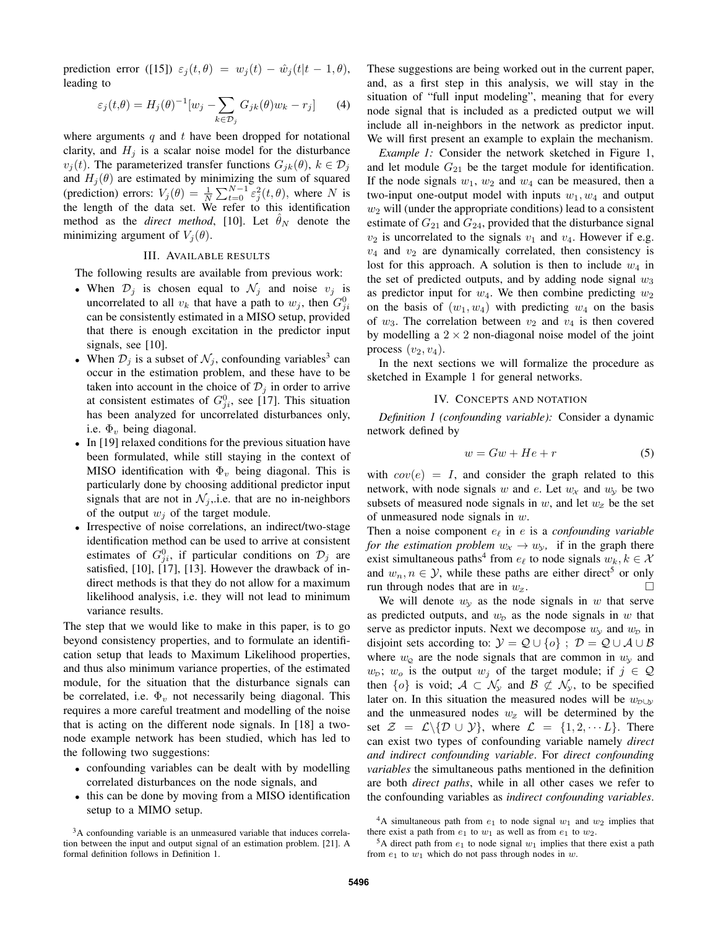prediction error ([15])  $\varepsilon_j(t, \theta) = w_j(t) - \hat{w}_j(t|t-1, \theta)$ , leading to

$$
\varepsilon_j(t,\theta) = H_j(\theta)^{-1}[w_j - \sum_{k \in \mathcal{D}_j} G_{jk}(\theta)w_k - r_j] \tag{4}
$$

where arguments  $q$  and  $t$  have been dropped for notational clarity, and  $H_i$  is a scalar noise model for the disturbance  $v_j(t)$ . The parameterized transfer functions  $G_{jk}(\theta)$ ,  $k \in \mathcal{D}_j$ and  $H_j(\theta)$  are estimated by minimizing the sum of squared (prediction) errors:  $V_j(\theta) = \frac{1}{N} \sum_{t=0}^{N-1} \varepsilon_j^2(t,\theta)$ , where N is the length of the data set. We refer to this identification method as the *direct method*, [10]. Let  $\hat{\theta}_N$  denote the minimizing argument of  $V_j(\theta)$ .

#### III. AVAILABLE RESULTS

The following results are available from previous work:

- When  $\mathcal{D}_j$  is chosen equal to  $\mathcal{N}_j$  and noise  $v_j$  is uncorrelated to all  $v_k$  that have a path to  $w_j$ , then  $G_{ji}^0$ can be consistently estimated in a MISO setup, provided that there is enough excitation in the predictor input signals, see [10].
- When  $\mathcal{D}_j$  is a subset of  $\mathcal{N}_j$ , confounding variables<sup>3</sup> can occur in the estimation problem, and these have to be taken into account in the choice of  $\mathcal{D}_i$  in order to arrive at consistent estimates of  $G_{ji}^0$ , see [17]. This situation has been analyzed for uncorrelated disturbances only, i.e.  $\Phi_v$  being diagonal.
- In [19] relaxed conditions for the previous situation have been formulated, while still staying in the context of MISO identification with  $\Phi_v$  being diagonal. This is particularly done by choosing additional predictor input signals that are not in  $\mathcal{N}_j$ , i.e. that are no in-neighbors of the output  $w_i$  of the target module.
- Irrespective of noise correlations, an indirect/two-stage identification method can be used to arrive at consistent estimates of  $G_{ji}^0$ , if particular conditions on  $\mathcal{D}_j$  are satisfied, [10], [17], [13]. However the drawback of indirect methods is that they do not allow for a maximum likelihood analysis, i.e. they will not lead to minimum variance results.

The step that we would like to make in this paper, is to go beyond consistency properties, and to formulate an identification setup that leads to Maximum Likelihood properties, and thus also minimum variance properties, of the estimated module, for the situation that the disturbance signals can be correlated, i.e.  $\Phi_v$  not necessarily being diagonal. This requires a more careful treatment and modelling of the noise that is acting on the different node signals. In [18] a twonode example network has been studied, which has led to the following two suggestions:

- confounding variables can be dealt with by modelling correlated disturbances on the node signals, and
- this can be done by moving from a MISO identification setup to a MIMO setup.

These suggestions are being worked out in the current paper, and, as a first step in this analysis, we will stay in the situation of "full input modeling", meaning that for every node signal that is included as a predicted output we will include all in-neighbors in the network as predictor input. We will first present an example to explain the mechanism.

*Example 1:* Consider the network sketched in Figure 1, and let module  $G_{21}$  be the target module for identification. If the node signals  $w_1$ ,  $w_2$  and  $w_4$  can be measured, then a two-input one-output model with inputs  $w_1, w_4$  and output  $w_2$  will (under the appropriate conditions) lead to a consistent estimate of  $G_{21}$  and  $G_{24}$ , provided that the disturbance signal  $v_2$  is uncorrelated to the signals  $v_1$  and  $v_4$ . However if e.g.  $v_4$  and  $v_2$  are dynamically correlated, then consistency is lost for this approach. A solution is then to include  $w_4$  in the set of predicted outputs, and by adding node signal  $w_3$ as predictor input for  $w_4$ . We then combine predicting  $w_2$ on the basis of  $(w_1, w_4)$  with predicting  $w_4$  on the basis of  $w_3$ . The correlation between  $v_2$  and  $v_4$  is then covered by modelling a  $2 \times 2$  non-diagonal noise model of the joint process  $(v_2, v_4)$ .

In the next sections we will formalize the procedure as sketched in Example 1 for general networks.

## IV. CONCEPTS AND NOTATION

*Definition 1 (confounding variable):* Consider a dynamic network defined by

$$
w = Gw + He + r \tag{5}
$$

with  $cov(e) = I$ , and consider the graph related to this network, with node signals w and e. Let  $w_x$  and  $w_y$  be two subsets of measured node signals in  $w$ , and let  $w_z$  be the set of unmeasured node signals in  $w$ .

Then a noise component  $e_\ell$  in e is a *confounding variable for the estimation problem*  $w_x \rightarrow w_y$ , if in the graph there exist simultaneous paths<sup>4</sup> from  $e_\ell$  to node signals  $w_k, k \in \mathcal{X}$ and  $w_n, n \in \mathcal{Y}$ , while these paths are either direct<sup>5</sup> or only run through nodes that are in  $w_z$ .

We will denote  $w<sub>y</sub>$  as the node signals in w that serve as predicted outputs, and  $w<sub>D</sub>$  as the node signals in w that serve as predictor inputs. Next we decompose  $w_y$  and  $w_p$  in disjoint sets according to:  $\mathcal{Y} = \mathcal{Q} \cup \{o\}$ ;  $\mathcal{D} = \mathcal{Q} \cup \mathcal{A} \cup \mathcal{B}$ where  $w_{\mathcal{Q}}$  are the node signals that are common in  $w_{\mathcal{Y}}$  and  $w_{\mathcal{D}}$ ;  $w_o$  is the output  $w_j$  of the target module; if  $j \in \mathcal{Q}$ then  $\{o\}$  is void;  $A \subset \mathcal{N}_v$  and  $\mathcal{B} \not\subset \mathcal{N}_v$ , to be specified later on. In this situation the measured nodes will be  $w_{\text{D}\cup\text{Y}}$ and the unmeasured nodes  $w_z$  will be determined by the set  $\mathcal{Z} = \mathcal{L} \setminus \{ \mathcal{D} \cup \mathcal{Y} \}$ , where  $\mathcal{L} = \{1, 2, \dots L \}$ . There can exist two types of confounding variable namely *direct and indirect confounding variable*. For *direct confounding variables* the simultaneous paths mentioned in the definition are both *direct paths*, while in all other cases we refer to the confounding variables as *indirect confounding variables*.

<sup>&</sup>lt;sup>3</sup>A confounding variable is an unmeasured variable that induces correlation between the input and output signal of an estimation problem. [21]. A formal definition follows in Definition 1.

<sup>&</sup>lt;sup>4</sup>A simultaneous path from  $e_1$  to node signal  $w_1$  and  $w_2$  implies that there exist a path from  $e_1$  to  $w_1$  as well as from  $e_1$  to  $w_2$ .

<sup>&</sup>lt;sup>5</sup>A direct path from  $e_1$  to node signal  $w_1$  implies that there exist a path from  $e_1$  to  $w_1$  which do not pass through nodes in  $w$ .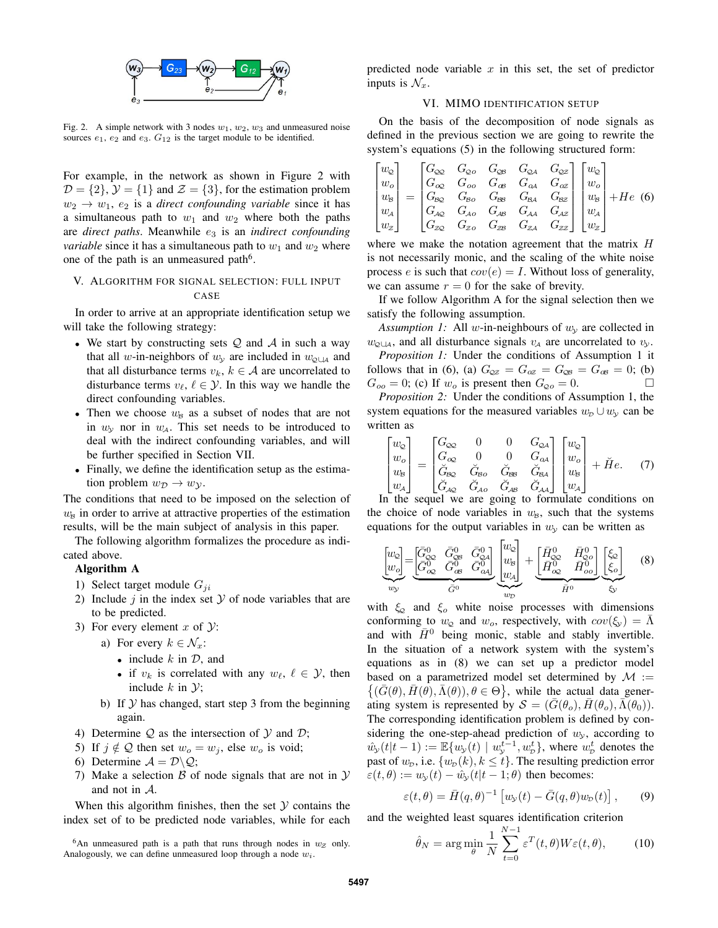

Fig. 2. A simple network with 3 nodes  $w_1, w_2, w_3$  and unmeasured noise sources  $e_1$ ,  $e_2$  and  $e_3$ .  $G_{12}$  is the target module to be identified.

For example, in the network as shown in Figure 2 with  $\mathcal{D} = \{2\}, \mathcal{Y} = \{1\}$  and  $\mathcal{Z} = \{3\}$ , for the estimation problem  $w_2 \rightarrow w_1$ ,  $e_2$  is a *direct confounding variable* since it has a simultaneous path to  $w_1$  and  $w_2$  where both the paths are *direct paths*. Meanwhile  $e_3$  is an *indirect confounding variable* since it has a simultaneous path to  $w_1$  and  $w_2$  where one of the path is an unmeasured path<sup>6</sup>.

## V. ALGORITHM FOR SIGNAL SELECTION: FULL INPUT CASE

In order to arrive at an appropriate identification setup we will take the following strategy:

- We start by constructing sets  $Q$  and  $A$  in such a way that all w-in-neighbors of  $w_y$  are included in  $w_{\phi \cup A}$  and that all disturbance terms  $v_k, k \in A$  are uncorrelated to disturbance terms  $v_{\ell}, \ell \in \mathcal{Y}$ . In this way we handle the direct confounding variables.
- Then we choose  $w_B$  as a subset of nodes that are not in  $w_y$  nor in  $w_{\mathcal{A}}$ . This set needs to be introduced to deal with the indirect confounding variables, and will be further specified in Section VII.
- Finally, we define the identification setup as the estimation problem  $w_{\mathcal{D}} \to w_{\mathcal{Y}}$ .

The conditions that need to be imposed on the selection of  $w<sub>8</sub>$  in order to arrive at attractive properties of the estimation results, will be the main subject of analysis in this paper.

The following algorithm formalizes the procedure as indicated above.

### Algorithm A

- 1) Select target module  $G_{ji}$
- 2) Include  $j$  in the index set  $\mathcal Y$  of node variables that are to be predicted.
- 3) For every element x of  $\mathcal{Y}$ :
	- a) For every  $k \in \mathcal{N}_x$ :
		- include  $k$  in  $\mathcal{D}$ , and
		- if  $v_k$  is correlated with any  $w_\ell, \ell \in \mathcal{Y}$ , then include  $k$  in  $\mathcal{Y}$ ;
	- b) If  $Y$  has changed, start step 3 from the beginning again.
- 4) Determine  $Q$  as the intersection of  $Y$  and  $D$ ;
- 5) If  $j \notin Q$  then set  $w_0 = w_j$ , else  $w_0$  is void;
- 6) Determine  $A = \mathcal{D} \backslash \mathcal{Q}$ ;
- 7) Make a selection  $\beta$  of node signals that are not in  $\mathcal Y$ and not in A.

When this algorithm finishes, then the set  $Y$  contains the index set of to be predicted node variables, while for each predicted node variable  $x$  in this set, the set of predictor inputs is  $\mathcal{N}_x$ .

#### VI. MIMO IDENTIFICATION SETUP

On the basis of the decomposition of node signals as defined in the previous section we are going to rewrite the system's equations (5) in the following structured form:

$$
\begin{bmatrix} w_{\mathcal{Q}} \\ w_{o} \\ w_{\mathcal{B}} \\ w_{\mathcal{A}} \\ w_{\mathcal{Z}} \end{bmatrix} = \begin{bmatrix} G_{\mathcal{Q}\mathcal{Q}} & G_{\mathcal{Q}\mathcal{O}} & G_{\mathcal{Q}\mathcal{B}} & G_{\mathcal{Q}\mathcal{A}} & G_{\mathcal{Q}\mathcal{Z}} \\ G_{\mathcal{Q}\mathcal{Q}} & G_{\mathcal{Q}\mathcal{O}} & G_{\mathcal{B}\mathcal{B}} & G_{\mathcal{Q}\mathcal{A}} & G_{\mathcal{Z}\mathcal{Z}} \\ G_{\mathcal{R}\mathcal{Q}} & G_{\mathcal{A}\mathcal{O}} & G_{\mathcal{A}\mathcal{B}} & G_{\mathcal{A}\mathcal{A}} & G_{\mathcal{A}\mathcal{Z}} \\ G_{\mathcal{A}\mathcal{Q}} & G_{\mathcal{Z}\mathcal{O}} & G_{\mathcal{Z}\mathcal{B}} & G_{\mathcal{Z}\mathcal{A}} & G_{\mathcal{Z}\mathcal{Z}} \end{bmatrix} \begin{bmatrix} w_{\mathcal{Q}} \\ w_{o} \\ w_{s} \\ w_{s} \\ w_{z} \end{bmatrix} + He \quad (6)
$$

where we make the notation agreement that the matrix  $H$ is not necessarily monic, and the scaling of the white noise process e is such that  $cov(e) = I$ . Without loss of generality, we can assume  $r = 0$  for the sake of brevity.

If we follow Algorithm A for the signal selection then we satisfy the following assumption.

*Assumption 1:* All w-in-neighbours of  $w_y$  are collected in  $w_{\text{Q} \cup A}$ , and all disturbance signals  $v_A$  are uncorrelated to  $v_y$ .

*Proposition 1:* Under the conditions of Assumption 1 it follows that in (6), (a)  $G_{\text{QZ}} = G_{\text{QZ}} = G_{\text{QB}} = G_{\text{QB}} = 0$ ; (b)  $G_{oo} = 0$ ; (c) If  $w_o$  is present then  $G_{\varphi o} = 0$ .

*Proposition 2:* Under the conditions of Assumption 1, the system equations for the measured variables  $w_D \cup w_y$  can be written as

$$
\begin{bmatrix} w_{\mathcal{Q}} \\ w_{o} \\ w_{\mathcal{B}} \\ w_{\mathcal{A}} \end{bmatrix} = \begin{bmatrix} G_{\infty} & 0 & 0 & G_{\infty A} \\ G_{\infty} & 0 & 0 & G_{\infty A} \\ G_{\infty} & G_{\infty} & G_{\infty} & G_{\infty A} \\ G_{\mathcal{A}\mathcal{Q}} & G_{\mathcal{A}o} & G_{\mathcal{A}\mathcal{B}} & G_{\mathcal{A}A} \end{bmatrix} \begin{bmatrix} w_{\mathcal{Q}} \\ w_{o} \\ w_{b} \\ w_{\mathcal{A}} \end{bmatrix} + \breve{H}e. \tag{7}
$$

In the sequel we are going to formulate conditions on the choice of node variables in  $w_B$ , such that the systems equations for the output variables in  $w_y$  can be written as

$$
\underbrace{\begin{bmatrix} w_{\mathcal{Q}} \\ w_{\mathcal{Q}} \end{bmatrix}}_{w_{\mathcal{Y}}} = \underbrace{\begin{bmatrix} \bar{G}_{\mathcal{Q}\mathcal{Q}}^{0} & \bar{G}_{\mathcal{Q}\mathcal{S}}^{0} & \bar{G}_{\mathcal{Q}\mathcal{A}}^{0} \\ \bar{G}_{\mathcal{Q}\mathcal{Q}}^{0} & \bar{G}_{\mathcal{Q}\mathcal{A}}^{0} \end{bmatrix}}_{\bar{G}^{0}} \underbrace{\begin{bmatrix} w_{\mathcal{Q}} \\ w_{\mathcal{S}} \end{bmatrix}}_{w_{\mathcal{D}}} + \underbrace{\begin{bmatrix} \bar{H}_{\mathcal{Q}\mathcal{Q}}^{0} & \bar{H}_{\mathcal{Q}\mathcal{Q}}^{0} \\ \bar{H}_{\mathcal{Q}\mathcal{Q}}^{0} & \bar{H}_{\mathcal{Q}\mathcal{Q}}^{0} \end{bmatrix}}_{\bar{H}^{0}} \underbrace{\begin{bmatrix} \xi_{\mathcal{Q}} \\ \xi_{\mathcal{Q}} \end{bmatrix}}_{\mathcal{S}} \qquad (8)
$$

with  $\xi_{\text{Q}}$  and  $\xi_{\text{o}}$  white noise processes with dimensions conforming to  $w_{\mathcal{Q}}$  and  $w_o$ , respectively, with  $cov(\xi_y) = \Lambda$ and with  $\bar{H}^0$  being monic, stable and stably invertible. In the situation of a network system with the system's equations as in (8) we can set up a predictor model based on a parametrized model set determined by  $\mathcal{M}$  :=  $\{(\bar{G}(\theta), \bar{H}(\theta), \bar{\Lambda}(\theta)), \theta \in \Theta\}$ , while the actual data generating system is represented by  $S = (G(\theta_o), H(\theta_o), \bar{\Lambda}(\theta_0)).$ The corresponding identification problem is defined by considering the one-step-ahead prediction of  $w_y$ , according to  $\hat{w}_y(t|t-1) := \mathbb{E}\{w_y(t) \mid w_y^{t-1}, w_p^t\}$ , where  $w_p^t$  denotes the past of  $w_p$ , i.e.  $\{w_p(k), k \leq t\}$ . The resulting prediction error  $\varepsilon(t, \theta) := w_{\nu}(t) - \hat{w}_{\nu}(t|t-1; \theta)$  then becomes:

$$
\varepsilon(t,\theta) = \bar{H}(q,\theta)^{-1} \left[ w_{\mathcal{Y}}(t) - \bar{G}(q,\theta) w_{\mathcal{D}}(t) \right],\qquad(9)
$$

and the weighted least squares identification criterion

$$
\hat{\theta}_N = \arg\min_{\theta} \frac{1}{N} \sum_{t=0}^{N-1} \varepsilon^T(t, \theta) W \varepsilon(t, \theta), \qquad (10)
$$

<sup>&</sup>lt;sup>6</sup>An unmeasured path is a path that runs through nodes in  $w_z$  only. Analogously, we can define unmeasured loop through a node  $w_i$ .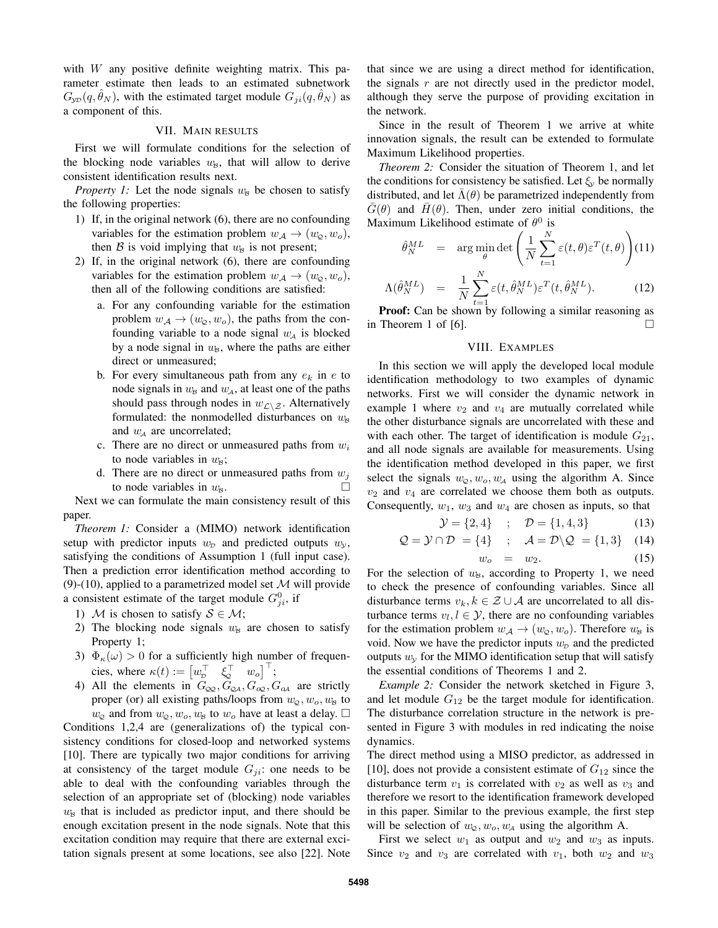with  $W$  any positive definite weighting matrix. This parameter estimate then leads to an estimated subnetwork  $G_{\text{YD}}(q, \theta_N)$ , with the estimated target module  $G_{ii}(q, \theta_N)$  as a component of this.

## VII. MAIN RESULTS

First we will formulate conditions for the selection of the blocking node variables  $w_B$ , that will allow to derive consistent identification results next.

*Property 1:* Let the node signals  $w_B$  be chosen to satisfy the following properties:

- 1) If, in the original network (6), there are no confounding variables for the estimation problem  $w_A \rightarrow (w_\text{o}, w_\text{o}),$ then B is void implying that  $w_B$  is not present;
- 2) If, in the original network (6), there are confounding variables for the estimation problem  $w_{\mathcal{A}} \rightarrow (w_{\mathcal{Q}}, w_o)$ , then all of the following conditions are satisfied:
	- a. For any confounding variable for the estimation problem  $w_{\mathcal{A}} \rightarrow (w_{\mathcal{Q}}, w_o)$ , the paths from the confounding variable to a node signal  $w<sub>A</sub>$  is blocked by a node signal in  $w_B$ , where the paths are either direct or unmeasured;
	- b. For every simultaneous path from any  $e_k$  in  $e$  to node signals in  $w_B$  and  $w_A$ , at least one of the paths should pass through nodes in  $w_{\mathcal{L}\setminus\mathcal{Z}}$ . Alternatively formulated: the nonmodelled disturbances on  $w_B$ and  $w_A$  are uncorrelated;
	- c. There are no direct or unmeasured paths from  $w_i$ to node variables in  $w_{\beta}$ ;
	- d. There are no direct or unmeasured paths from  $w_i$ to node variables in  $w_8$ .

Next we can formulate the main consistency result of this paper.

*Theorem 1:* Consider a (MIMO) network identification setup with predictor inputs  $w<sub>D</sub>$  and predicted outputs  $w<sub>y</sub>$ , satisfying the conditions of Assumption 1 (full input case). Then a prediction error identification method according to (9)-(10), applied to a parametrized model set  $M$  will provide a consistent estimate of the target module  $G_{ji}^0$ , if

- 1) M is chosen to satisfy  $S \in \mathcal{M}$ ;
- 2) The blocking node signals  $w_B$  are chosen to satisfy Property 1;
- 3)  $\Phi_{\kappa}(\omega) > 0$  for a sufficiently high number of frequencies, where  $\kappa(t) := \begin{bmatrix} w_{\scriptscriptstyle D}^\top & \xi_{\scriptscriptstyle Q}^\top & w_o \end{bmatrix}^\top$ ;
- 4) All the elements in  $G_{QQ}$ ,  $G_{QA}$ ,  $G_{QQ}$ ,  $G_{\alpha A}$  are strictly proper (or) all existing paths/loops from  $w_{\mathcal{Q}}, w_o, w_B$  to  $w_{\mathcal{Q}}$  and from  $w_{\mathcal{Q}}, w_o, w_{\mathcal{B}}$  to  $w_o$  have at least a delay.  $\Box$

Conditions 1,2,4 are (generalizations of) the typical consistency conditions for closed-loop and networked systems [10]. There are typically two major conditions for arriving at consistency of the target module  $G_{ji}$ : one needs to be able to deal with the confounding variables through the selection of an appropriate set of (blocking) node variables  $w<sub>B</sub>$  that is included as predictor input, and there should be enough excitation present in the node signals. Note that this excitation condition may require that there are external excitation signals present at some locations, see also [22]. Note that since we are using a direct method for identification, the signals  $r$  are not directly used in the predictor model, although they serve the purpose of providing excitation in the network.

Since in the result of Theorem 1 we arrive at white innovation signals, the result can be extended to formulate Maximum Likelihood properties.

*Theorem 2:* Consider the situation of Theorem 1, and let the conditions for consistency be satisfied. Let  $\xi_{\nu}$  be normally distributed, and let  $\bar{\Lambda}(\theta)$  be parametrized independently from  $\overline{G}(\theta)$  and  $\overline{H}(\theta)$ . Then, under zero initial conditions, the Maximum Likelihood estimate of  $\theta^0$  is

$$
\hat{\theta}_N^{ML} = \arg\min_{\theta} \det \left( \frac{1}{N} \sum_{t=1}^N \varepsilon(t, \theta) \varepsilon^T(t, \theta) \right) (11)
$$

$$
\Lambda(\hat{\theta}_N^{ML}) = \frac{1}{N} \sum_{t=1}^N \varepsilon(t, \hat{\theta}_N^{ML}) \varepsilon^T(t, \hat{\theta}_N^{ML}).
$$
\n**Proof:** Can be shown by following a similar reasoning as

in Theorem 1 of [6].  $\Box$ 

## VIII. EXAMPLES

In this section we will apply the developed local module identification methodology to two examples of dynamic networks. First we will consider the dynamic network in example 1 where  $v_2$  and  $v_4$  are mutually correlated while the other disturbance signals are uncorrelated with these and with each other. The target of identification is module  $G_{21}$ , and all node signals are available for measurements. Using the identification method developed in this paper, we first select the signals  $w_0, w_0, w_4$  using the algorithm A. Since  $v_2$  and  $v_4$  are correlated we choose them both as outputs. Consequently,  $w_1$ ,  $w_3$  and  $w_4$  are chosen as inputs, so that

$$
\mathcal{Y} = \{2, 4\} \quad ; \quad \mathcal{D} = \{1, 4, 3\} \tag{13}
$$

$$
\mathcal{Q} = \mathcal{Y} \cap \mathcal{D} = \{4\} \quad ; \quad \mathcal{A} = \mathcal{D} \backslash \mathcal{Q} = \{1, 3\} \quad (14)
$$

$$
w_o = w_2. \tag{15}
$$

For the selection of  $w_B$ , according to Property 1, we need to check the presence of confounding variables. Since all disturbance terms  $v_k, k \in \mathcal{Z} \cup \mathcal{A}$  are uncorrelated to all disturbance terms  $v_l, l \in \mathcal{Y}$ , there are no confounding variables for the estimation problem  $w_A \rightarrow (w_\phi, w_\phi)$ . Therefore  $w_\beta$  is void. Now we have the predictor inputs  $w<sub>D</sub>$  and the predicted outputs  $w<sub>y</sub>$  for the MIMO identification setup that will satisfy the essential conditions of Theorems 1 and 2.

*Example 2:* Consider the network sketched in Figure 3, and let module  $G_{12}$  be the target module for identification. The disturbance correlation structure in the network is presented in Figure 3 with modules in red indicating the noise dynamics.

The direct method using a MISO predictor, as addressed in [10], does not provide a consistent estimate of  $G_{12}$  since the disturbance term  $v_1$  is correlated with  $v_2$  as well as  $v_3$  and therefore we resort to the identification framework developed in this paper. Similar to the previous example, the first step will be selection of  $w_{\mathcal{Q}}, w_o, w_A$  using the algorithm A.

First we select  $w_1$  as output and  $w_2$  and  $w_3$  as inputs. Since  $v_2$  and  $v_3$  are correlated with  $v_1$ , both  $w_2$  and  $w_3$